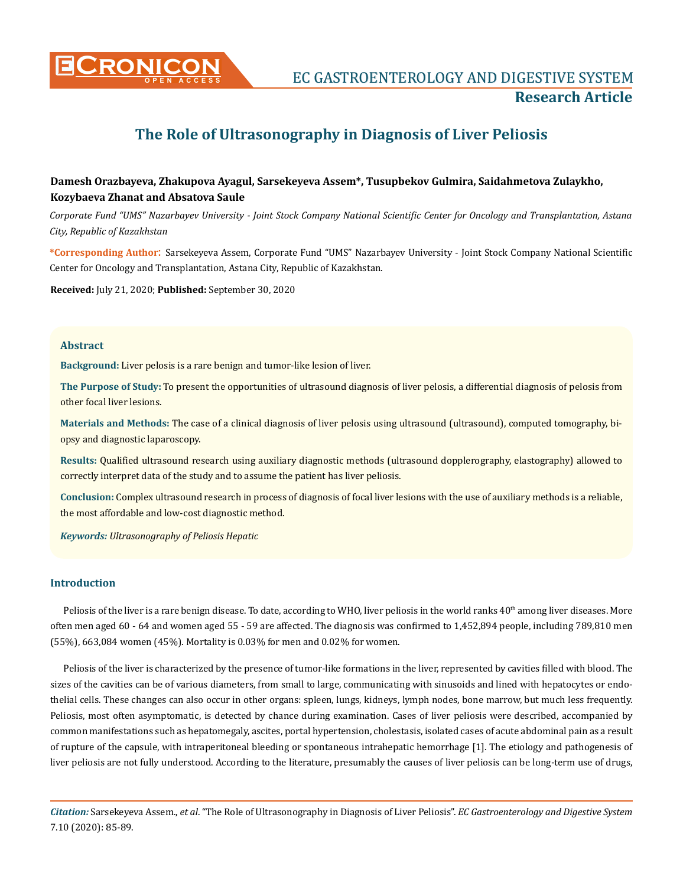

**CRONICON** EC GASTROENTEROLOGY AND DIGESTIVE SYSTEM **Research Article**

# **The Role of Ultrasonography in Diagnosis of Liver Peliosis**

# **Damesh Orazbayeva, Zhakupova Ayagul, Sarsekeyeva Assem\*, Tusupbekov Gulmira, Saidahmetova Zulaykho, Kozybaeva Zhanat and Absatova Saule**

*Сorporate Fund "UMS" Nazarbayev University - Joint Stock Company National Scientific Center for Oncology and Transplantation, Astana City, Republic of Kazakhstan*

**\*Corresponding Author**: Sarsekeyeva Assem, Сorporate Fund "UMS" Nazarbayev University - Joint Stock Company National Scientific Center for Oncology and Transplantation, Astana City, Republic of Kazakhstan.

**Received:** July 21, 2020; **Published:** September 30, 2020

#### **Abstract**

**Background:** Liver pelosis is a rare benign and tumor-like lesion of liver.

**The Purpose of Study:** To present the opportunities of ultrasound diagnosis of liver pelosis, a differential diagnosis of pelosis from other focal liver lesions.

**Materials and Methods:** The case of a clinical diagnosis of liver pelosis using ultrasound (ultrasound), computed tomography, biopsy and diagnostic laparoscopy.

**Results:** Qualified ultrasound research using auxiliary diagnostic methods (ultrasound dopplerography, elastography) allowed to correctly interpret data of the study and to assume the patient has liver peliosis.

**Conclusion:** Complex ultrasound research in process of diagnosis of focal liver lesions with the use of auxiliary methods is a reliable, the most affordable and low-cost diagnostic method.

*Keywords: Ultrasonography of Peliosis Hepatic* 

#### **Introduction**

Peliosis of the liver is a rare benign disease. To date, according to WHO, liver peliosis in the world ranks 40<sup>th</sup> among liver diseases. More often men aged 60 - 64 and women aged 55 - 59 are affected. The diagnosis was confirmed to 1,452,894 people, including 789,810 men (55%), 663,084 women (45%). Mortality is 0.03% for men and 0.02% for women.

Peliosis of the liver is characterized by the presence of tumor-like formations in the liver, represented by cavities filled with blood. The sizes of the cavities can be of various diameters, from small to large, communicating with sinusoids and lined with hepatocytes or endothelial cells. These changes can also occur in other organs: spleen, lungs, kidneys, lymph nodes, bone marrow, but much less frequently. Peliosis, most often asymptomatic, is detected by chance during examination. Cases of liver peliosis were described, accompanied by common manifestations such as hepatomegaly, ascites, portal hypertension, cholestasis, isolated cases of acute abdominal pain as a result of rupture of the capsule, with intraperitoneal bleeding or spontaneous intrahepatic hemorrhage [1]. The etiology and pathogenesis of liver peliosis are not fully understood. According to the literature, presumably the causes of liver peliosis can be long-term use of drugs,

*Citation:* Sarsekeyeva Assem., *et al*. "The Role of Ultrasonography in Diagnosis of Liver Peliosis". *EC Gastroenterology and Digestive System*  7.10 (2020): 85-89.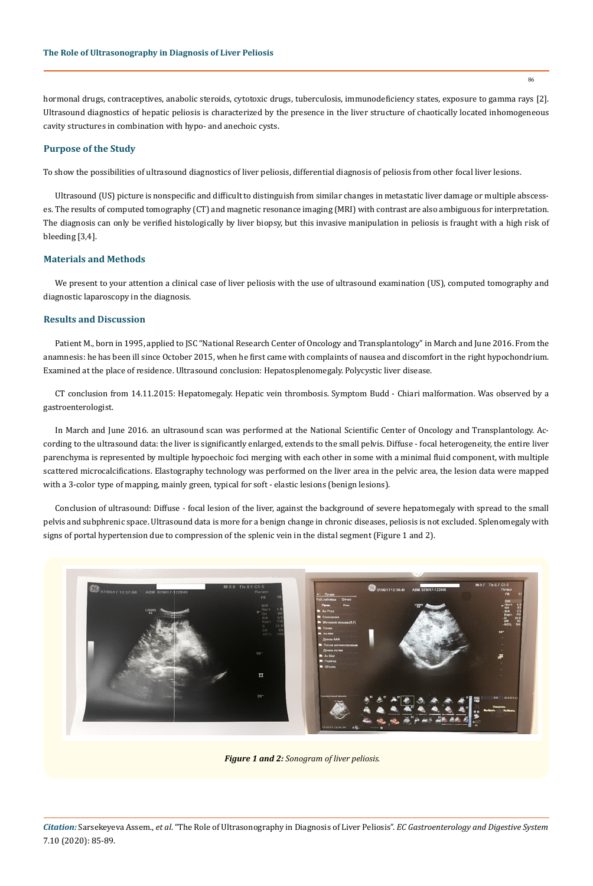hormonal drugs, contraceptives, anabolic steroids, cytotoxic drugs, tuberculosis, immunodeficiency states, exposure to gamma rays [2]. Ultrasound diagnostics of hepatic peliosis is characterized by the presence in the liver structure of chaotically located inhomogeneous cavity structures in combination with hypo- and anechoic cysts.

### **Purpose of the Study**

To show the possibilities of ultrasound diagnostics of liver peliosis, differential diagnosis of peliosis from other focal liver lesions.

Ultrasound (US) picture is nonspecific and difficult to distinguish from similar changes in metastatic liver damage or multiple abscesses. The results of computed tomography (CT) and magnetic resonance imaging (MRI) with contrast are also ambiguous for interpretation. The diagnosis can only be verified histologically by liver biopsy, but this invasive manipulation in peliosis is fraught with a high risk of bleeding [3,4].

#### **Materials and Methods**

We present to your attention a clinical case of liver peliosis with the use of ultrasound examination (US), computed tomography and diagnostic laparoscopy in the diagnosis.

### **Results and Discussion**

Patient M., born in 1995, applied to JSC "National Research Center of Oncology and Transplantology" in March and June 2016. From the anamnesis: he has been ill since October 2015, when he first came with complaints of nausea and discomfort in the right hypochondrium. Examined at the place of residence. Ultrasound conclusion: Hepatosplenomegaly. Polycystic liver disease.

CT conclusion from 14.11.2015: Hepatomegaly. Hepatic vein thrombosis. Symptom Budd - Chiari malformation. Was observed by a gastroenterologist.

In March and June 2016. an ultrasound scan was performed at the National Scientific Center of Oncology and Transplantology. According to the ultrasound data: the liver is significantly enlarged, extends to the small pelvis. Diffuse - focal heterogeneity, the entire liver parenchyma is represented by multiple hypoechoic foci merging with each other in some with a minimal fluid component, with multiple scattered microcalcifications. Elastography technology was performed on the liver area in the pelvic area, the lesion data were mapped with a 3-color type of mapping, mainly green, typical for soft - elastic lesions (benign lesions).

Conclusion of ultrasound: Diffuse - focal lesion of the liver, against the background of severe hepatomegaly with spread to the small pelvis and subphrenic space. Ultrasound data is more for a benign change in chronic diseases, peliosis is not excluded. Splenomegaly with signs of portal hypertension due to compression of the splenic vein in the distal segment (Figure 1 and 2).



*Figure 1 and 2: Sonogram of liver peliosis.*

*Citation:* Sarsekeyeva Assem., *et al*. "The Role of Ultrasonography in Diagnosis of Liver Peliosis". *EC Gastroenterology and Digestive System*  7.10 (2020): 85-89.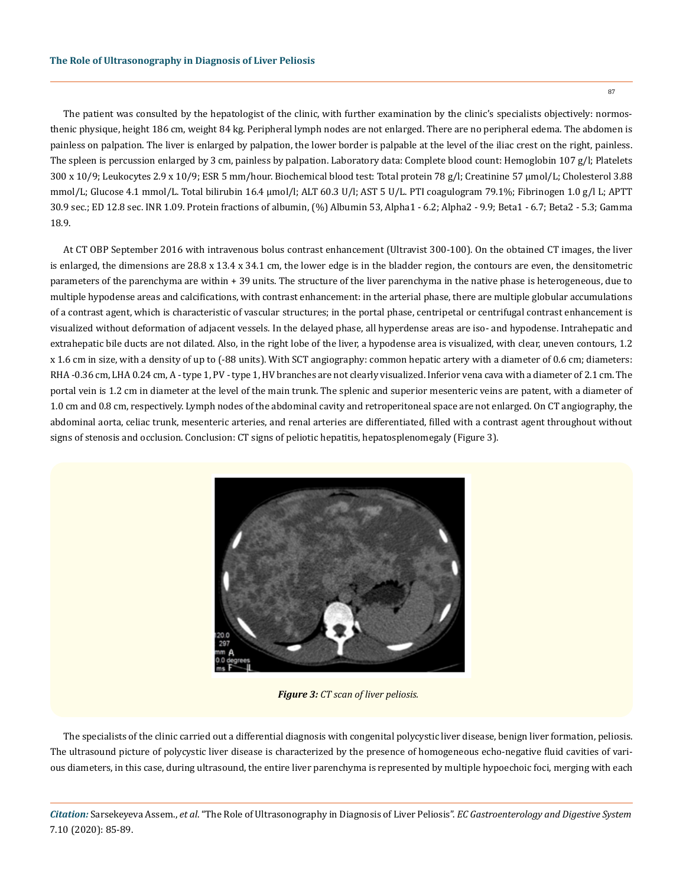The patient was consulted by the hepatologist of the clinic, with further examination by the clinic's specialists objectively: normosthenic physique, height 186 cm, weight 84 kg. Peripheral lymph nodes are not enlarged. There are no peripheral edema. The abdomen is painless on palpation. The liver is enlarged by palpation, the lower border is palpable at the level of the iliac crest on the right, painless. The spleen is percussion enlarged by 3 cm, painless by palpation. Laboratory data: Complete blood count: Hemoglobin 107 g/l; Platelets 300 x 10/9; Leukocytes 2.9 x 10/9; ESR 5 mm/hour. Biochemical blood test: Total protein 78 g/l; Creatinine 57 μmol/L; Cholesterol 3.88 mmol/L; Glucose 4.1 mmol/L. Total bilirubin 16.4 μmol/l; ALT 60.3 U/l; AST 5 U/L. PTI coagulogram 79.1%; Fibrinogen 1.0 g/l L; APTT 30.9 sec.; ED 12.8 sec. INR 1.09. Protein fractions of albumin, (%) Albumin 53, Alpha1 - 6.2; Alpha2 - 9.9; Beta1 - 6.7; Beta2 - 5.3; Gamma 18.9.

At CT OBP September 2016 with intravenous bolus contrast enhancement (Ultravist 300-100). On the obtained CT images, the liver is enlarged, the dimensions are  $28.8 \times 13.4 \times 34.1$  cm, the lower edge is in the bladder region, the contours are even, the densitometric parameters of the parenchyma are within + 39 units. The structure of the liver parenchyma in the native phase is heterogeneous, due to multiple hypodense areas and calcifications, with contrast enhancement: in the arterial phase, there are multiple globular accumulations of a contrast agent, which is characteristic of vascular structures; in the portal phase, centripetal or centrifugal contrast enhancement is visualized without deformation of adjacent vessels. In the delayed phase, all hyperdense areas are iso- and hypodense. Intrahepatic and extrahepatic bile ducts are not dilated. Also, in the right lobe of the liver, a hypodense area is visualized, with clear, uneven contours, 1.2 x 1.6 cm in size, with a density of up to (-88 units). With SCT angiography: common hepatic artery with a diameter of 0.6 cm; diameters: RHA -0.36 cm, LHA 0.24 cm, A - type 1, PV - type 1, HV branches are not clearly visualized. Inferior vena cava with a diameter of 2.1 cm. The portal vein is 1.2 cm in diameter at the level of the main trunk. The splenic and superior mesenteric veins are patent, with a diameter of 1.0 cm and 0.8 cm, respectively. Lymph nodes of the abdominal cavity and retroperitoneal space are not enlarged. On CT angiography, the abdominal aorta, celiac trunk, mesenteric arteries, and renal arteries are differentiated, filled with a contrast agent throughout without signs of stenosis and occlusion. Conclusion: CT signs of peliotic hepatitis, hepatosplenomegaly (Figure 3).



*Figure 3: CT scan of liver peliosis.*

The specialists of the clinic carried out a differential diagnosis with congenital polycystic liver disease, benign liver formation, peliosis. The ultrasound picture of polycystic liver disease is characterized by the presence of homogeneous echo-negative fluid cavities of various diameters, in this case, during ultrasound, the entire liver parenchyma is represented by multiple hypoechoic foci, merging with each

*Citation:* Sarsekeyeva Assem., *et al*. "The Role of Ultrasonography in Diagnosis of Liver Peliosis". *EC Gastroenterology and Digestive System*  7.10 (2020): 85-89.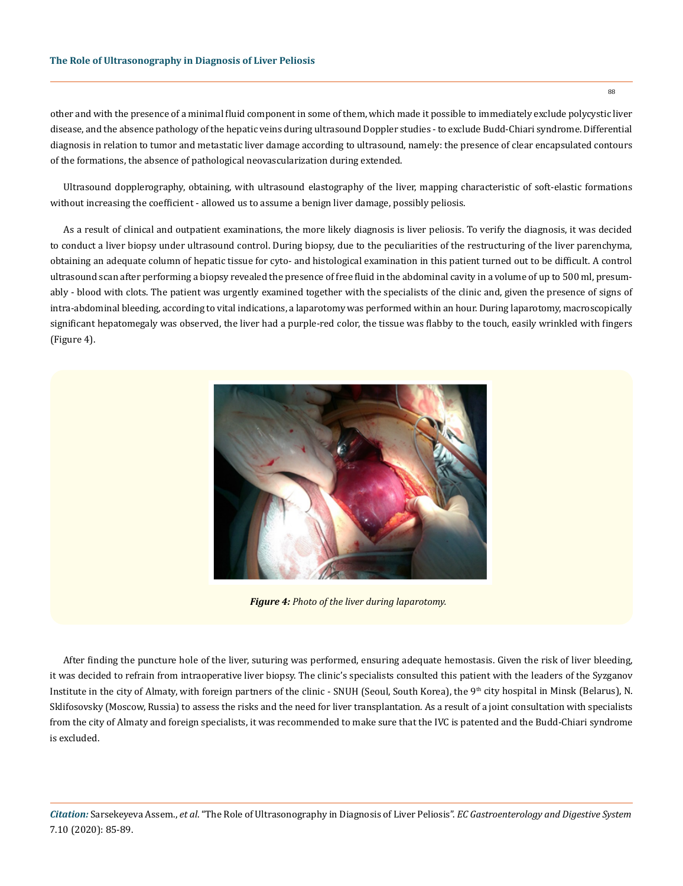other and with the presence of a minimal fluid component in some of them, which made it possible to immediately exclude polycystic liver disease, and the absence pathology of the hepatic veins during ultrasound Doppler studies - to exclude Budd-Chiari syndrome. Differential diagnosis in relation to tumor and metastatic liver damage according to ultrasound, namely: the presence of clear encapsulated contours of the formations, the absence of pathological neovascularization during extended.

Ultrasound dopplerography, obtaining, with ultrasound elastography of the liver, mapping characteristic of soft-elastic formations without increasing the coefficient - allowed us to assume a benign liver damage, possibly peliosis.

As a result of clinical and outpatient examinations, the more likely diagnosis is liver peliosis. To verify the diagnosis, it was decided to conduct a liver biopsy under ultrasound control. During biopsy, due to the peculiarities of the restructuring of the liver parenchyma, obtaining an adequate column of hepatic tissue for cyto- and histological examination in this patient turned out to be difficult. A control ultrasound scan after performing a biopsy revealed the presence of free fluid in the abdominal cavity in a volume of up to 500 ml, presumably - blood with clots. The patient was urgently examined together with the specialists of the clinic and, given the presence of signs of intra-abdominal bleeding, according to vital indications, a laparotomy was performed within an hour. During laparotomy, macroscopically significant hepatomegaly was observed, the liver had a purple-red color, the tissue was flabby to the touch, easily wrinkled with fingers (Figure 4).



*Figure 4: Photo of the liver during laparotomy.*

After finding the puncture hole of the liver, suturing was performed, ensuring adequate hemostasis. Given the risk of liver bleeding, it was decided to refrain from intraoperative liver biopsy. The clinic's specialists consulted this patient with the leaders of the Syzganov Institute in the city of Almaty, with foreign partners of the clinic - SNUH (Seoul, South Korea), the 9<sup>th</sup> city hospital in Minsk (Belarus), N. Sklifosovsky (Moscow, Russia) to assess the risks and the need for liver transplantation. As a result of a joint consultation with specialists from the city of Almaty and foreign specialists, it was recommended to make sure that the IVC is patented and the Budd-Chiari syndrome is excluded.

*Citation:* Sarsekeyeva Assem., *et al*. "The Role of Ultrasonography in Diagnosis of Liver Peliosis". *EC Gastroenterology and Digestive System*  7.10 (2020): 85-89.